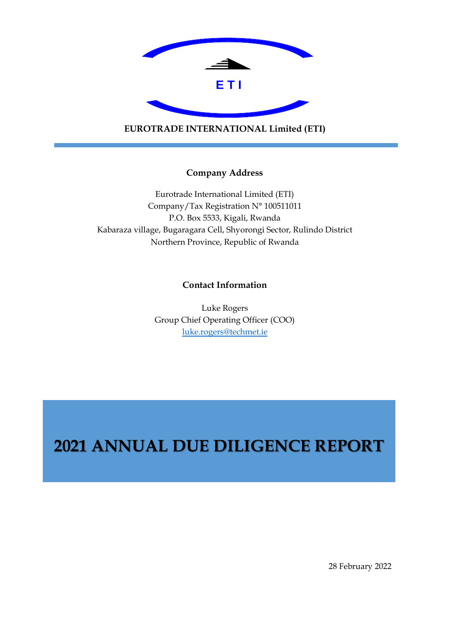

**EUROTRADE INTERNATIONAL Limited (ETI)**

## **Company Address**

Eurotrade International Limited (ETI) Company/Tax Registration N° 100511011 P.O. Box 5533, Kigali, Rwanda Kabaraza village, Bugaragara Cell, Shyorongi Sector, Rulindo District Northern Province, Republic of Rwanda

# **Contact Information**

Luke Rogers Group Chief Operating Officer (COO) [luke.rogers@techmet.ie](mailto:luke.rogers@techmet.ie)

# **2021 ANNUAL DUE DILIGENCE REPORT**

28 February 2022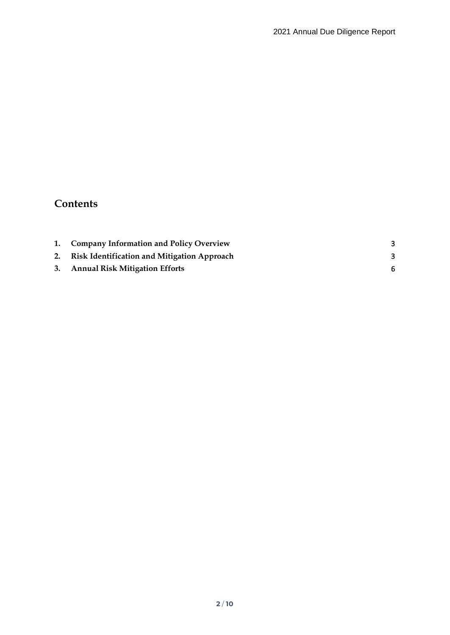# **Contents**

|    | 1. Company Information and Policy Overview         |   |
|----|----------------------------------------------------|---|
| 2. | <b>Risk Identification and Mitigation Approach</b> | 3 |
|    | 3. Annual Risk Mitigation Efforts                  |   |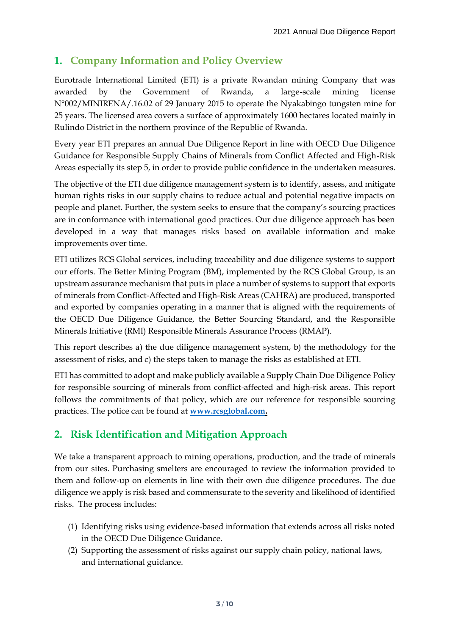# <span id="page-2-0"></span>**1. Company Information and Policy Overview**

Eurotrade International Limited (ETI) is a private Rwandan mining Company that was awarded by the Government of Rwanda, a large-scale mining license N°002/MINIRENA/.16.02 of 29 January 2015 to operate the Nyakabingo tungsten mine for 25 years. The licensed area covers a surface of approximately 1600 hectares located mainly in Rulindo District in the northern province of the Republic of Rwanda.

Every year ETI prepares an annual Due Diligence Report in line with OECD Due Diligence Guidance for Responsible Supply Chains of Minerals from Conflict Affected and High-Risk Areas especially its step 5, in order to provide public confidence in the undertaken measures.

The objective of the ETI due diligence management system is to identify, assess, and mitigate human rights risks in our supply chains to reduce actual and potential negative impacts on people and planet. Further, the system seeks to ensure that the company's sourcing practices are in conformance with international good practices. Our due diligence approach has been developed in a way that manages risks based on available information and make improvements over time.

ETI utilizes RCS Global services, including traceability and due diligence systems to support our efforts. The Better Mining Program (BM), implemented by the RCS Global Group, is an upstream assurance mechanism that puts in place a number of systems to support that exports of minerals from Conflict-Affected and High-Risk Areas (CAHRA) are produced, transported and exported by companies operating in a manner that is aligned with the requirements of the OECD Due Diligence Guidance, the Better Sourcing Standard, and the Responsible Minerals Initiative (RMI) Responsible Minerals Assurance Process (RMAP).

This report describes a) the due diligence management system, b) the methodology for the assessment of risks, and c) the steps taken to manage the risks as established at ETI.

ETI has committed to adopt and make publicly available a Supply Chain Due Diligence Policy for responsible sourcing of minerals from conflict-affected and high-risk areas. This report follows the commitments of that policy, which are our reference for responsible sourcing practices. The police can be found at **[www.rcsglobal.com.](http://www.rcsglobal.com/)**

# <span id="page-2-1"></span>**2. Risk Identification and Mitigation Approach**

We take a transparent approach to mining operations, production, and the trade of minerals from our sites. Purchasing smelters are encouraged to review the information provided to them and follow-up on elements in line with their own due diligence procedures. The due diligence we apply is risk based and commensurate to the severity and likelihood of identified risks. The process includes:

- (1) Identifying risks using evidence-based information that extends across all risks noted in the OECD Due Diligence Guidance.
- (2) Supporting the assessment of risks against our supply chain policy, national laws, and international guidance.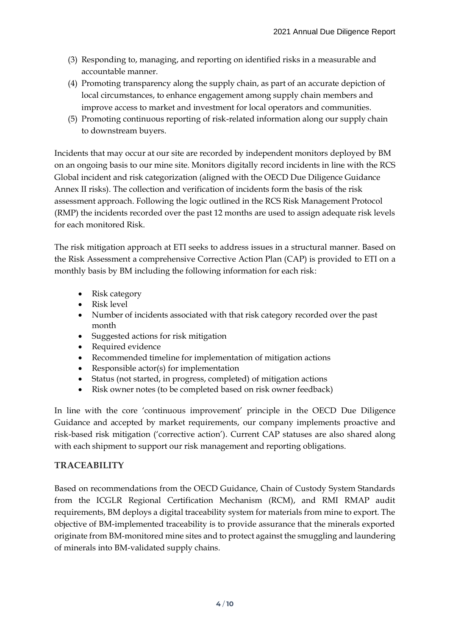- (3) Responding to, managing, and reporting on identified risks in a measurable and accountable manner.
- (4) Promoting transparency along the supply chain, as part of an accurate depiction of local circumstances, to enhance engagement among supply chain members and improve access to market and investment for local operators and communities.
- (5) Promoting continuous reporting of risk-related information along our supply chain to downstream buyers.

Incidents that may occur at our site are recorded by independent monitors deployed by BM on an ongoing basis to our mine site. Monitors digitally record incidents in line with the RCS Global incident and risk categorization (aligned with the OECD Due Diligence Guidance Annex II risks). The collection and verification of incidents form the basis of the risk assessment approach. Following the logic outlined in the RCS Risk Management Protocol (RMP) the incidents recorded over the past 12 months are used to assign adequate risk levels for each monitored Risk.

The risk mitigation approach at ETI seeks to address issues in a structural manner. Based on the Risk Assessment a comprehensive Corrective Action Plan (CAP) is provided to ETI on a monthly basis by BM including the following information for each risk:

- Risk category
- Risk level
- Number of incidents associated with that risk category recorded over the past month
- Suggested actions for risk mitigation
- Required evidence
- Recommended timeline for implementation of mitigation actions
- Responsible actor(s) for implementation
- Status (not started, in progress, completed) of mitigation actions
- Risk owner notes (to be completed based on risk owner feedback)

In line with the core 'continuous improvement' principle in the OECD Due Diligence Guidance and accepted by market requirements, our company implements proactive and risk-based risk mitigation ('corrective action'). Current CAP statuses are also shared along with each shipment to support our risk management and reporting obligations.

## **TRACEABILITY**

Based on recommendations from the OECD Guidance, Chain of Custody System Standards from the ICGLR Regional Certification Mechanism (RCM), and RMI RMAP audit requirements, BM deploys a digital traceability system for materials from mine to export. The objective of BM-implemented traceability is to provide assurance that the minerals exported originate from BM-monitored mine sites and to protect against the smuggling and laundering of minerals into BM-validated supply chains.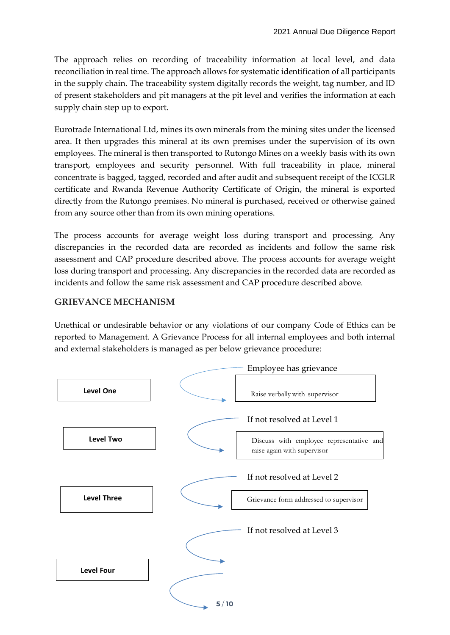The approach relies on recording of traceability information at local level, and data reconciliation in real time. The approach allows for systematic identification of all participants in the supply chain. The traceability system digitally records the weight, tag number, and ID of present stakeholders and pit managers at the pit level and verifies the information at each supply chain step up to export.

Eurotrade International Ltd, mines its own minerals from the mining sites under the licensed area. It then upgrades this mineral at its own premises under the supervision of its own employees. The mineral is then transported to Rutongo Mines on a weekly basis with its own transport, employees and security personnel. With full traceability in place, mineral concentrate is bagged, tagged, recorded and after audit and subsequent receipt of the ICGLR certificate and Rwanda Revenue Authority Certificate of Origin, the mineral is exported directly from the Rutongo premises. No mineral is purchased, received or otherwise gained from any source other than from its own mining operations.

The process accounts for average weight loss during transport and processing. Any discrepancies in the recorded data are recorded as incidents and follow the same risk assessment and CAP procedure described above. The process accounts for average weight loss during transport and processing. Any discrepancies in the recorded data are recorded as incidents and follow the same risk assessment and CAP procedure described above.

# **GRIEVANCE MECHANISM**

Unethical or undesirable behavior or any violations of our company Code of Ethics can be reported to Management. A Grievance Process for all internal employees and both internal and external stakeholders is managed as per below grievance procedure:

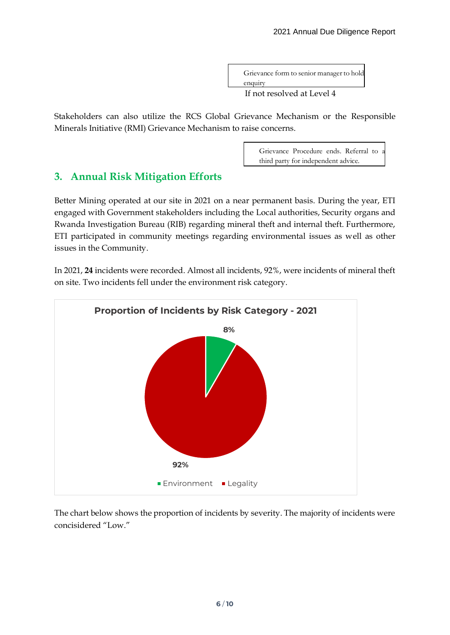Grievance form to senior manager to hold enquiry

If not resolved at Level 4

Stakeholders can also utilize the RCS Global Grievance Mechanism or the Responsible Minerals Initiative (RMI) Grievance Mechanism to raise concerns.

> Grievance Procedure ends. Referral to a third party for independent advice.

# <span id="page-5-0"></span>**3. Annual Risk Mitigation Efforts**

Better Mining operated at our site in 2021 on a near permanent basis. During the year, ETI engaged with Government stakeholders including the Local authorities, Security organs and Rwanda Investigation Bureau (RIB) regarding mineral theft and internal theft. Furthermore, ETI participated in community meetings regarding environmental issues as well as other issues in the Community.

In 2021, **24** incidents were recorded. Almost all incidents, 92%, were incidents of mineral theft on site. Two incidents fell under the environment risk category.



The chart below shows the proportion of incidents by severity. The majority of incidents were concisidered "Low."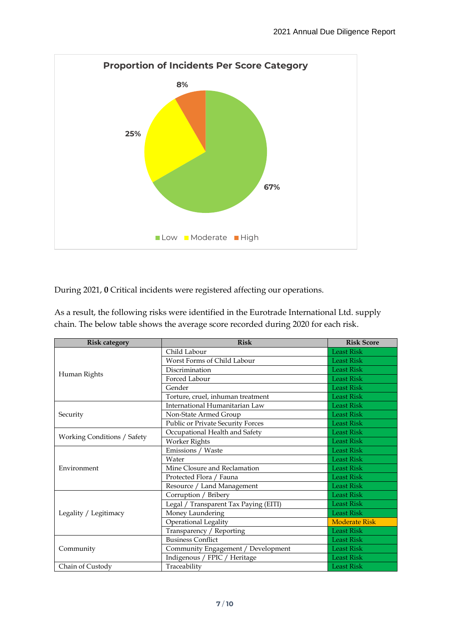

During 2021, **0** Critical incidents were registered affecting our operations.

As a result, the following risks were identified in the Eurotrade International Ltd. supply chain. The below table shows the average score recorded during 2020 for each risk.

| <b>Risk category</b>        | <b>Risk</b>                              | <b>Risk Score</b>    |
|-----------------------------|------------------------------------------|----------------------|
|                             | Child Labour                             | <b>Least Risk</b>    |
|                             | Worst Forms of Child Labour              | <b>Least Risk</b>    |
|                             | Discrimination                           | <b>Least Risk</b>    |
| Human Rights                | Forced Labour                            | <b>Least Risk</b>    |
|                             | Gender                                   | <b>Least Risk</b>    |
|                             | Torture, cruel, inhuman treatment        | <b>Least Risk</b>    |
|                             | International Humanitarian Law           | <b>Least Risk</b>    |
| Security                    | Non-State Armed Group                    | <b>Least Risk</b>    |
|                             | <b>Public or Private Security Forces</b> | <b>Least Risk</b>    |
| Working Conditions / Safety | Occupational Health and Safety           | <b>Least Risk</b>    |
|                             | Worker Rights                            | <b>Least Risk</b>    |
|                             | Emissions / Waste                        | <b>Least Risk</b>    |
|                             | Water                                    | <b>Least Risk</b>    |
| Environment                 | Mine Closure and Reclamation             | <b>Least Risk</b>    |
|                             | Protected Flora / Fauna                  | <b>Least Risk</b>    |
|                             | Resource / Land Management               | <b>Least Risk</b>    |
|                             | Corruption / Bribery                     | <b>Least Risk</b>    |
|                             | Legal / Transparent Tax Paying (EITI)    | <b>Least Risk</b>    |
| Legality / Legitimacy       | Money Laundering                         | <b>Least Risk</b>    |
|                             | <b>Operational Legality</b>              | <b>Moderate Risk</b> |
|                             | Transparency / Reporting                 | <b>Least Risk</b>    |
|                             | <b>Business Conflict</b>                 | <b>Least Risk</b>    |
| Community                   | Community Engagement / Development       | <b>Least Risk</b>    |
|                             | Indigenous / FPIC / Heritage             | <b>Least Risk</b>    |
| Chain of Custody            | Traceability                             | <b>Least Risk</b>    |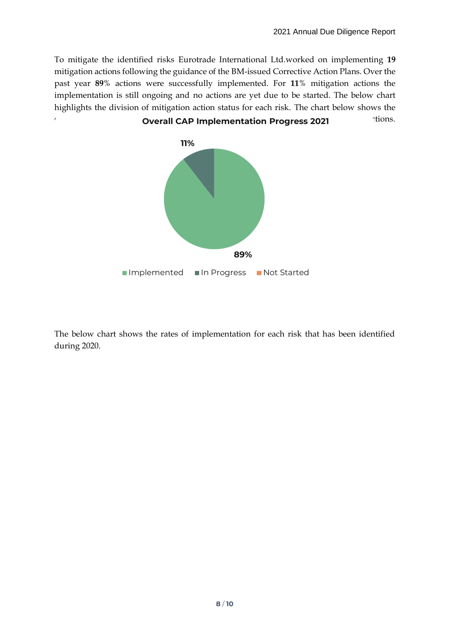To mitigate the identified risks Eurotrade International Ltd.worked on implementing **19** mitigation actions following the guidance of the BM-issued Corrective Action Plans. Over the past year **89**% actions were successfully implemented. For **11**% mitigation actions the implementation is still ongoing and no actions are yet due to be started. The below chart highlights the division of mitigation action status for each risk. The chart below shows the



The below chart shows the rates of implementation for each risk that has been identified during 2020.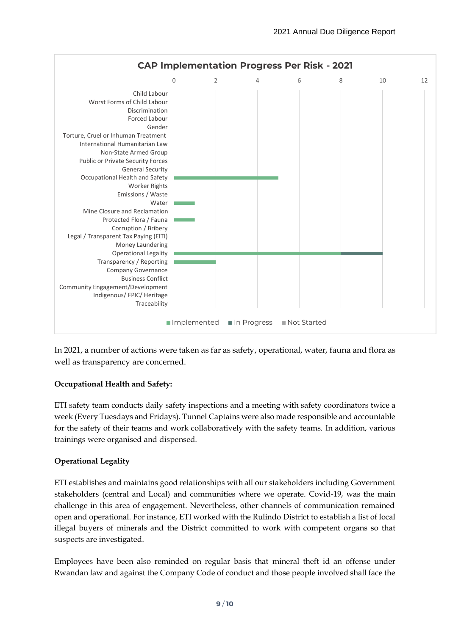

In 2021, a number of actions were taken as far as safety, operational, water, fauna and flora as well as transparency are concerned.

## **Occupational Health and Safety:**

ETI safety team conducts daily safety inspections and a meeting with safety coordinators twice a week (Every Tuesdays and Fridays). Tunnel Captains were also made responsible and accountable for the safety of their teams and work collaboratively with the safety teams. In addition, various trainings were organised and dispensed.

## **Operational Legality**

ETI establishes and maintains good relationships with all our stakeholders including Government stakeholders (central and Local) and communities where we operate. Covid-19, was the main challenge in this area of engagement. Nevertheless, other channels of communication remained open and operational. For instance, ETI worked with the Rulindo District to establish a list of local illegal buyers of minerals and the District committed to work with competent organs so that suspects are investigated.

Employees have been also reminded on regular basis that mineral theft id an offense under Rwandan law and against the Company Code of conduct and those people involved shall face the